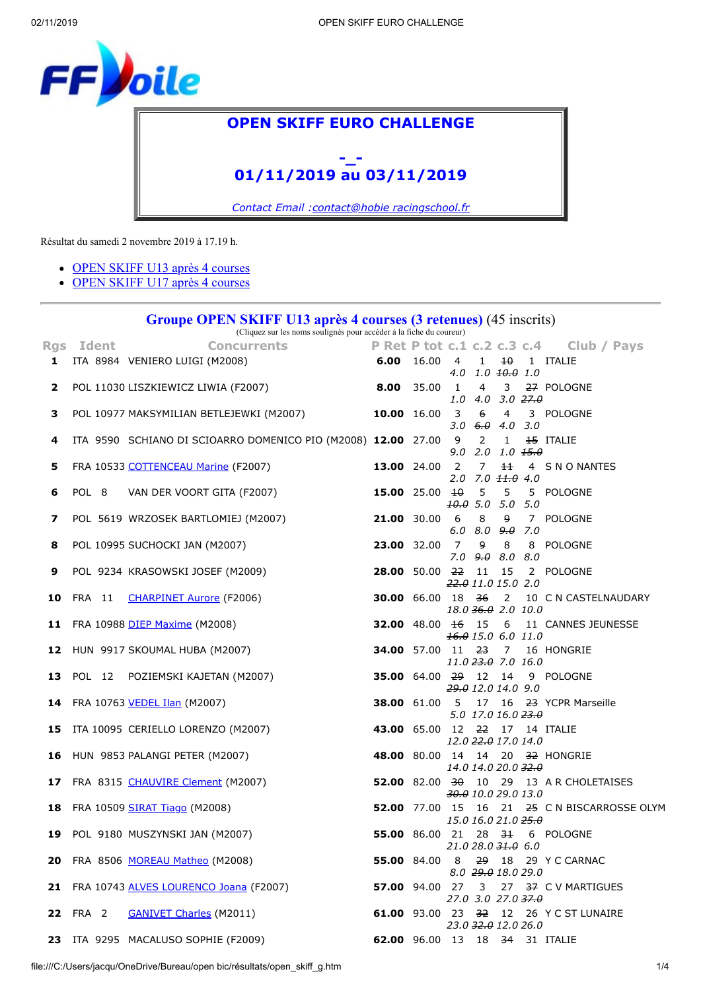<span id="page-0-1"></span>

## **OPEN SKIFF EURO CHALLENGE**

## **-\_- 01/11/2019 au 03/11/2019**

*Contact Email [:contact@hobie racingschool.fr](mailto:contact@hobie%20racingschool.fr)*

Résultat du samedi 2 novembre 2019 à 17.19 h.

- [OPEN SKIFF U13 après 4 courses](#page-0-0)
- [OPEN SKIFF U17 après 4 courses](#page-1-0)

## **Groupe OPEN SKIFF U13 après 4 courses (3 retenues)** (45 inscrits)

(Cliquez sur les noms soulignés pour accéder à la fiche du coureur)

<span id="page-0-0"></span>

|   | Rgs Ident | <b>Concurrents</b>                                                                              |                                 |                                     |                |                                     | P Ret P tot c.1 c.2 c.3 c.4 Club / Pays                  |
|---|-----------|-------------------------------------------------------------------------------------------------|---------------------------------|-------------------------------------|----------------|-------------------------------------|----------------------------------------------------------|
|   |           | 6.00 16.00 4 1 $10^{10}$ 1 ITALIE<br>1 ITA 8984 VENIERO LUIGI (M2008)                           |                                 |                                     |                | $4.0$ $1.0$ $\overline{10.0}$ $1.0$ |                                                          |
|   |           | <b>2</b> POL 11030 LISZKIEWICZ LIWIA (F2007) <b>8.00</b> 35.00 1                                |                                 |                                     | $\overline{4}$ | $1.0$ $4.0$ $3.0$ $27.0$            | 3 27 POLOGNE                                             |
| 3 |           | POL 10977 MAKSYMILIAN BETLEJEWKI (M2007) 10.00 16.00 3 6 4 3 POLOGNE                            |                                 |                                     |                | $3.0 \t6.0 \t4.0 \t3.0$             |                                                          |
| 4 |           | ITA 9590 SCHIANO DI SCIOARRO DOMENICO PIO (M2008) 12.00 27.00 9 2                               |                                 |                                     |                | $\mathbf{1}$<br>$9.0$ 2.0 1.0 $1.0$ | <b>15 ITALIE</b>                                         |
| 5 |           | <b>13.00</b> 24.00 2 7 $\frac{1}{2}$ 7 44 4 S N O NANTES<br>FRA 10533 COTTENCEAU Marine (F2007) |                                 |                                     |                | $2.0$ $7.0$ $11.0$ $4.0$            |                                                          |
| 6 |           | POL 8 VAN DER VOORT GITA (F2007)                                                                | 15.00 25.00 $\frac{10}{10}$ 5 5 | $10.0$ 5.0 5.0 5.0                  |                |                                     | 5 POLOGNE                                                |
| 7 |           | POL 5619 WRZOSEK BARTLOMIEJ (M2007)                                                             |                                 |                                     |                | $6.0$ $8.0$ $9.0$ $7.0$             | 21.00 30.00 6 8 9 7 POLOGNE                              |
| 8 |           | POL 10995 SUCHOCKI JAN (M2007)                                                                  | 23.00 32.00 7                   |                                     | 9              | 8<br>$7.0$ $9.0$ $8.0$ $8.0$        | 8 POLOGNE                                                |
| 9 |           | POL 9234 KRASOWSKI JOSEF (M2009)                                                                |                                 | 22.0 11.0 15.0 2.0                  |                |                                     | 28.00 50.00 22 11 15 2 POLOGNE                           |
|   |           | 10 FRA 11 CHARPINET Aurore (F2006)                                                              |                                 |                                     |                | 18.0 36.0 2.0 10.0                  | 30.00 66.00 18 36 2 10 C N CASTELNAUDARY                 |
|   |           | 11 FRA 10988 DIEP Maxime (M2008)                                                                |                                 | 16.0 15.0 6.0 11.0                  |                |                                     | <b>32.00</b> 48.00 <del>16</del> 15 6 11 CANNES JEUNESSE |
|   |           | 12 HUN 9917 SKOUMAL HUBA (M2007)                                                                |                                 |                                     |                | 11.0 23.0 7.0 16.0                  | <b>34.00</b> 57.00 11 23 7 16 HONGRIE                    |
|   |           | 13 POL 12 POZIEMSKI KAJETAN (M2007)                                                             |                                 | 29.0 12.0 14.0 9.0                  |                |                                     | 35.00 64.00 29 12 14 9 POLOGNE                           |
|   |           | 14 FRA 10763 VEDEL Ilan (M2007)                                                                 |                                 |                                     |                | 5.0 17.0 16.0 23.0                  | 38.00 61.00 5 17 16 23 YCPR Marseille                    |
|   |           | 15 ITA 10095 CERIELLO LORENZO (M2007) 43.00 65.00 12 22 17 14 ITALIE                            |                                 |                                     |                | 12.0 <del>22.0</del> 17.0 14.0      |                                                          |
|   |           | 16 HUN 9853 PALANGI PETER (M2007)                                                               |                                 | 14.0 14.0 20.0 32.0                 |                |                                     | 48.00 80.00 14 14 20 32 HONGRIE                          |
|   |           | 17 FRA 8315 CHAUVIRE Clement (M2007)                                                            |                                 | 30.0 10.0 29.0 13.0                 |                |                                     | 52.00 82.00 30 10 29 13 A R CHOLETAISES                  |
|   |           | 18 FRA 10509 SIRAT Tiago (M2008)                                                                |                                 | 15.0 16.0 21.0 25.0                 |                |                                     | 52.00 77.00 15 16 21 <del>25</del> C N BISCARROSSE OLYM  |
|   |           | 19 POL 9180 MUSZYNSKI JAN (M2007)                                                               |                                 |                                     |                | 21.028.031.060                      | <b>55.00</b> 86.00 21 28 31 6 POLOGNE                    |
|   |           | 20 FRA 8506 MOREAU Matheo (M2008)                                                               | <b>55.00</b> 84.00 8            |                                     |                | 8.0 29.0 18.0 29.0                  | 29 18 29 Y C CARNAC                                      |
|   |           | 21 FRA 10743 ALVES LOURENCO Joana (F2007) 67.00 94.00 27 3 27 37 C V MARTIGUES                  |                                 | $27.0$ 3.0 $27.0$ $\frac{37.0}{10}$ |                |                                     |                                                          |
|   |           | 22 FRA 2 GANIVET Charles (M2011)                                                                |                                 |                                     |                | 23.0 32.0 12.0 26.0                 | 61.00 93.00 23 32 12 26 Y C ST LUNAIRE                   |
|   |           | 23 ITA 9295 MACALUSO SOPHIE (F2009)                                                             | 62.00 96.00 13 18 34 31 ITALIE  |                                     |                |                                     |                                                          |

file:///C:/Users/jacqu/OneDrive/Bureau/open bic/résultats/open\_skiff\_g.htm 1/4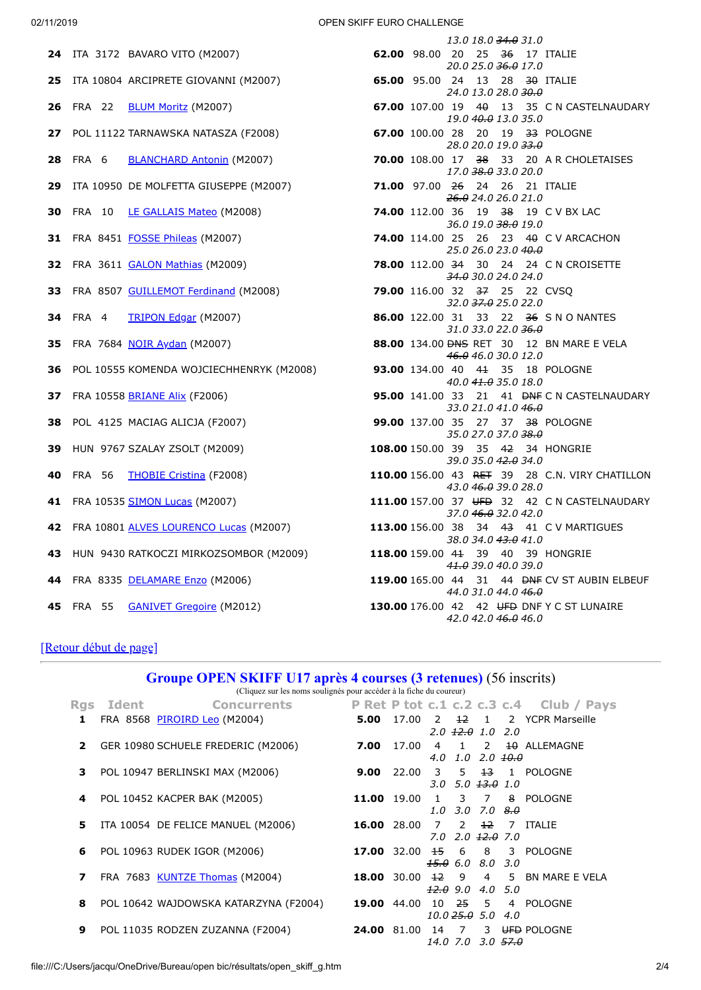02/11/2019 OPEN SKIFF EURO CHALLENGE

|                                             | 13.0 18.0 <del>34.0</del> 31.0                                                |
|---------------------------------------------|-------------------------------------------------------------------------------|
| 24 ITA 3172 BAVARO VITO (M2007)             | 62.00 98.00 20 25 36 17 ITALIE<br>20.0 25.0 <del>36.0</del> 17.0              |
| 25 ITA 10804 ARCIPRETE GIOVANNI (M2007)     | 65.00 95.00 24 13 28 30 ITALIE<br>24.0 13.0 28.0 30.0                         |
| 26 FRA 22 <b>BLUM Moritz</b> (M2007)        | 67.00 107.00 19 40 13 35 C N CASTELNAUDARY<br>19.0 40.0 13.0 35.0             |
| 27 POL 11122 TARNAWSKA NATASZA (F2008)      | 67.00 100.00 28 20 19 33 POLOGNE<br>28.0 20.0 19.0 33.0                       |
| 28 FRA 6 BLANCHARD Antonin (M2007)          | 70.00 108.00 17 38 33 20 AR CHOLETAISES<br>17.0 38.0 33.0 20.0                |
| 29 ITA 10950 DE MOLFETTA GIUSEPPE (M2007)   | 71.00 97.00 26 24 26 21 ITALIE<br>26.024.026.021.0                            |
| 30 FRA 10 LE GALLAIS Mateo (M2008)          | <b>74.00</b> 112.00 36 19 38 19 C V BX LAC<br>36.0 19.0 38.0 19.0             |
| 31 FRA 8451 FOSSE Phileas (M2007)           | 74.00 114.00 25 26 23 40 C V ARCACHON<br>25.0 26.0 23.0 40.0                  |
| 32 FRA 3611 GALON Mathias (M2009)           | 78.00 112.00 34 30 24 24 C N CROISETTE<br>34.0 30.0 24.0 24.0                 |
| 33 FRA 8507 GUILLEMOT Ferdinand (M2008)     | 79.00 116.00 32 37 25 22 CVSQ<br>32.0 37.0 25.0 22.0                          |
| <b>34</b> FRA 4<br>TRIPON Edgar (M2007)     | 86.00 122.00 31 33 22 36 S N O NANTES<br>31.0 33.0 22.0 36.0                  |
| 35 FRA 7684 NOIR Aydan (M2007)              | 88.00 134.00 <del>DNS</del> RET 30 12 BN MARE E VELA<br>46.0 46.0 30.0 12.0   |
| 36 POL 10555 KOMENDA WOJCIECHHENRYK (M2008) | 93.00 134.00 40 41 35 18 POLOGNE<br>40.0 41.0 35.0 18.0                       |
| 37 FRA 10558 BRIANE Alix (F2006)            | 95.00 141.00 33 21 41 <del>DNF</del> C N CASTELNAUDARY<br>33.0 21.0 41.0 46.0 |
| <b>38</b> POL 4125 MACIAG ALICJA (F2007)    | 99.00 137.00 35 27 37 38 POLOGNE<br>35.0 27.0 37.0 <del>38.0</del>            |
| 39 HUN 9767 SZALAY ZSOLT (M2009)            | 108.00 150.00 39 35 42 34 HONGRIE<br>39.0 35.0 42.0 34.0                      |
| 40 FRA 56 THOBIE Cristina (F2008)           | 110.00 156.00 43 RET 39 28 C.N. VIRY CHATILLON<br>43.0 46.0 39.0 28.0         |
| 41 FRA 10535 SIMON Lucas (M2007)            | 111.00 157.00 37 UFD 32 42 C N CASTELNAUDARY<br>37.0 46.0 32.0 42.0           |
| 42 FRA 10801 ALVES LOURENCO Lucas (M2007)   | 113.00 156.00 38 34 43 41 C V MARTIGUES<br>38.0 34.0 43.0 41.0                |
| 43 HUN 9430 RATKOCZI MIRKOZSOMBOR (M2009)   | 118.00 159.00 41 39 40 39 HONGRIE<br>41.0 39.0 40.0 39.0                      |
| 44 FRA 8335 DELAMARE Enzo (M2006)           | 119.00 165.00 44 31 44 BNF CV ST AUBIN ELBEUF<br>44.0 31.0 44.0 46.0          |
| 45 FRA 55 GANIVET Gregoire (M2012)          | 130.00 176.00 42 42 UFD DNF Y C ST LUNAIRE<br>42.0 42.0 <del>46.0</del> 46.0  |

<span id="page-1-0"></span>[\[Retour début de page\]](#page-0-1)

| Groupe OPEN SKIFF U17 après 4 courses (3 retenues) (56 inscrits)<br>(Cliquez sur les noms soulignés pour accéder à la fiche du coureur) |       |                                       |                                        |             |                     |                                                 |                 |     |                                         |
|-----------------------------------------------------------------------------------------------------------------------------------------|-------|---------------------------------------|----------------------------------------|-------------|---------------------|-------------------------------------------------|-----------------|-----|-----------------------------------------|
| <b>Rgs</b>                                                                                                                              | Ident | <b>Concurrents</b>                    |                                        |             |                     |                                                 |                 |     | P Ret P tot c.1 c.2 c.3 c.4 Club / Pays |
| 1                                                                                                                                       |       | FRA 8568 PIROIRD Leo (M2004)          | 5.00                                   | 17.00 2     |                     | $2.0 \t{12.0} \t{1.0} \t{2.0}$                  |                 |     | 12 1 2 YCPR Marseille                   |
| 2                                                                                                                                       |       | GER 10980 SCHUELE FREDERIC (M2006)    | 7.00                                   | 17.00       | 4.0                 | 1.0 2.0 <del>10.0</del>                         |                 |     | 4 1 2 <del>10</del> ALLEMAGNE           |
| 3                                                                                                                                       |       | POL 10947 BERLINSKI MAX (M2006)       | 9.00                                   |             | 3.O                 | 5.0 <del>13.0</del> 1.0                         |                 |     | 22.00 3 5 <del>13</del> 1 POLOGNE       |
| 4                                                                                                                                       |       | POL 10452 KACPER BAK (M2005)          | 11.00 19.00                            |             | $\mathbf{1}$<br>1.0 | 3 7                                             | 3.0 7.0 $8.0$   |     | 8 POLOGNE                               |
| 5                                                                                                                                       |       | ITA 10054 DE FELICE MANUEL (M2006)    | <b>16.00</b> 28.00 7 2 <del>12</del> 7 |             |                     | 7.0 2.0 <del>12.0</del> 7.0                     |                 |     | ITALIE                                  |
| 6                                                                                                                                       |       | POL 10963 RUDEK IGOR (M2006)          |                                        | 17.00 32.00 |                     | $\frac{15}{15}$ 6 8<br>$15.0 \t6.0 \t8.0 \t3.0$ |                 |     | 3 POLOGNE                               |
| 7                                                                                                                                       |       | FRA 7683 KUNTZE Thomas (M2004)        | 18.00 30.00                            |             | $12 \overline{ }$   | $12.0$ 9.0 4.0 5.0                              |                 |     | 9 4 5 BN MARE E VELA                    |
| 8                                                                                                                                       |       | POL 10642 WAJDOWSKA KATARZYNA (F2004) | 19.00 44.00                            |             | 10                  | 10.0 <del>25.0</del> 5.0                        | <del>25</del> 5 | 4.0 | 4 POLOGNE                               |
| 9                                                                                                                                       |       | POL 11035 RODZEN ZUZANNA (F2004)      | <b>24.00</b> 81.00                     |             | 14                  | 7                                               |                 |     | 3 UFD POLOGNE                           |

*14.0 7.0 3.0 57.0*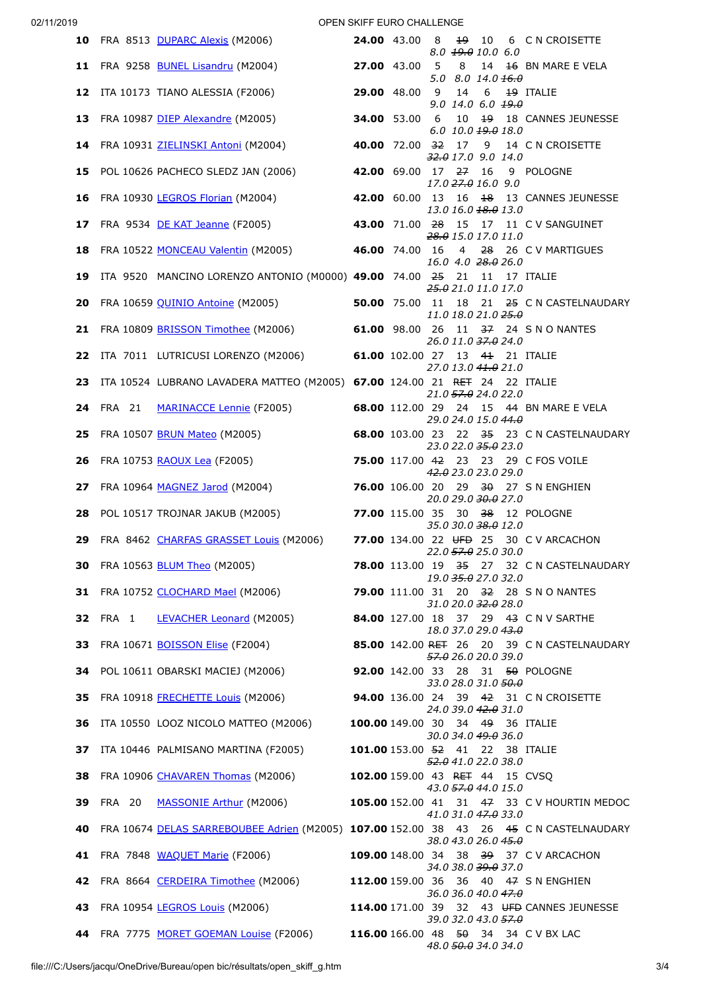02/11/2019 OPEN SKIFF EURO CHALLENGE

| <b>10</b> FRA 8513 <u>DUPARC Alexis</u> (M2006)                                                         |  |                     | 8.0 19.0 10.0 6.0                          |  | 24.00 43.00 8 19 10 6 CN CROISETTE          |
|---------------------------------------------------------------------------------------------------------|--|---------------------|--------------------------------------------|--|---------------------------------------------|
| <b>11</b> FRA 9258 <u>BUNEL Lisandru</u> (M2004) <b>27.00</b> 43.00 5 8 14 <del>16</del> BN MARE E VELA |  |                     | 5.0 8.0 14.0 $\frac{16.0}{16.0}$           |  |                                             |
| 12 ITA 10173 TIANO ALESSIA (F2006) 29.00 48.00 9 14 6 19 ITALIE                                         |  |                     | $9.0$ 14.0 6.0 $19.0$                      |  |                                             |
| 13 FRA 10987 DIEP Alexandre (M2005) 34.00 53.00 6 10 19 18 CANNES JEUNESSE                              |  |                     | 6.0 10.0 19.0 18.0                         |  |                                             |
| 14 FRA 10931 ZIELINSKI Antoni (M2004) 40.00 72.00 32 17 9 14 C N CROISETTE                              |  |                     | $32.0$ 17.0 9.0 14.0                       |  |                                             |
| 15 POL 10626 PACHECO SLEDZ JAN (2006) 42.00 69.00 17 27 16 9 POLOGNE                                    |  |                     | 17.0 27.0 16.0 9.0                         |  |                                             |
| 16 FRA 10930 LEGROS Florian (M2004) 42.00 60.00 13 16 18 13 CANNES JEUNESSE                             |  |                     | 13.0 16.0 <del>18.0</del> 13.0             |  |                                             |
| 17 FRA 9534 DE KAT Jeanne (F2005) 43.00 71.00 28 15 17 11 C V SANGUINET                                 |  | 28.0 15.0 17.0 11.0 |                                            |  |                                             |
| 18 FRA 10522 MONCEAU Valentin (M2005) 46.00 74.00 16 4 28 26 C V MARTIGUES                              |  |                     | 16.0 4.0 28.0 26.0                         |  |                                             |
| 19 ITA 9520 MANCINO LORENZO ANTONIO (M0000) 49.00 74.00 25 21 11 17 ITALIE                              |  |                     | 25.0 21.0 11.0 17.0                        |  |                                             |
| <b>20</b> FRA 10659 QUINIO Antoine (M2005) <b>50.00</b> 75.00 11 18 21 25 C N CASTELNAUDARY             |  |                     | 11.0 18.0 21.0 25.0                        |  |                                             |
| 21 FRA 10809 BRISSON Timothee (M2006) 61.00 98.00 26 11 37 24 S N O NANTES                              |  |                     | 26.0 11.0 37.0 24.0                        |  |                                             |
| 22 ITA 7011 LUTRICUSI LORENZO (M2006) 61.00 102.00 27 13 41 21 ITALIE                                   |  |                     | 27.0 13.0 41.0 21.0                        |  |                                             |
| 23 ITA 10524 LUBRANO LAVADERA MATTEO (M2005) 67.00 124.00 21 RET 24 22 ITALIE                           |  |                     | 21.0 57.0 24.0 22.0                        |  |                                             |
| 24 FRA 21 MARINACCE Lennie (F2005) 68.00 112.00 29 24 15 44 BN MARE E VELA                              |  | 29.0 24.0 15.0 44.0 |                                            |  |                                             |
| <b>25</b> FRA 10507 BRUN Mateo (M2005)                                                                  |  |                     |                                            |  | 68.00 103.00 23 22 35 23 C N CASTELNAUDARY  |
| <b>26</b> FRA 10753 RAOUX Lea (F2005)                                                                   |  |                     | 23.0 22.0 35.0 23.0                        |  | 75.00 117.00 42 23 23 29 C FOS VOILE        |
| 27 FRA 10964 MAGNEZ Jarod (M2004)                                                                       |  |                     | 42.0 23.0 23.0 29.0<br>20.0 29.0 30.0 27.0 |  | 76.00 106.00 20 29 30 27 SN ENGHIEN         |
| 28 POL 10517 TROJNAR JAKUB (M2005) 77.00 115.00 35 30 38 12 POLOGNE                                     |  |                     | 35.0 30.0 38.0 12.0                        |  |                                             |
| 29 FRA 8462 CHARFAS GRASSET Louis (M2006) 77.00 134.00 22 UFD 25 30 C V ARCACHON                        |  |                     | 22.0 57.0 25.0 30.0                        |  |                                             |
| <b>30</b> FRA 10563 BLUM Theo (M2005)                                                                   |  |                     | 19.0 35.0 27.0 32.0                        |  | 78.00 113.00 19 35 27 32 C N CASTELNAUDARY  |
| 31 FRA 10752 CLOCHARD Mael (M2006) 79.00 111.00 31 20 32 28 S N O NANTES                                |  |                     | 31.0 20.0 32.0 28.0                        |  |                                             |
| 32 FRA 1 LEVACHER Leonard (M2005) 84.00 127.00 18 37 29 43 C N V SARTHE                                 |  |                     | 18.0 37.0 29.0 43.0                        |  |                                             |
| 33 FRA 10671 <b>BOISSON Elise</b> (F2004)                                                               |  |                     | 57.0 26.0 20.0 39.0                        |  | 85.00 142.00 RET 26 20 39 C N CASTELNAUDARY |
| 34 POL 10611 OBARSKI MACIEJ (M2006) 92.00 142.00 33 28 31 50 POLOGNE                                    |  |                     | 33.0 28.0 31.0 50.0                        |  |                                             |
| 35 FRA 10918 FRECHETTE Louis (M2006) 94.00 136.00 24 39 42 31 C N CROISETTE                             |  |                     | 24.0 39.0 42.0 31.0                        |  |                                             |
| 36 ITA 10550 LOOZ NICOLO MATTEO (M2006) 100.00 149.00 30 34 49 36 ITALIE                                |  |                     | 30.0 34.0 49.0 36.0                        |  |                                             |
| 37 ITA 10446 PALMISANO MARTINA (F2005) 101.00 153.00 52 41 22 38 ITALIE                                 |  |                     | 52.0 41.0 22.0 38.0                        |  |                                             |
| 38 FRA 10906 CHAVAREN Thomas (M2006) 102.00 159.00 43 RET 44 15 CVSQ                                    |  |                     | 43.0 57.0 44.0 15.0                        |  |                                             |
| 39 FRA 20 MASSONIE Arthur (M2006) 105.00 152.00 41 31 47 33 C V HOURTIN MEDOC                           |  |                     | 41.0 31.0 47.0 33.0                        |  |                                             |
| 40 FRA 10674 DELAS SARREBOUBEE Adrien (M2005) 107.00 152.00 38 43 26 45 C N CASTELNAUDARY               |  |                     | 38.0 43.0 26.0 45.0                        |  |                                             |
| 41 FRA 7848 WAQUET Marie (F2006)                                                                        |  |                     | 34.0 38.0 39.0 37.0                        |  | 109.00 148.00 34 38 39 37 C V ARCACHON      |
| 42 FRA 8664 CERDEIRA Timothee (M2006) 112.00 159.00 36 36 40 47 S N ENGHIEN                             |  |                     | 36.0 36.0 40.0 47.0                        |  |                                             |
| 43 FRA 10954 LEGROS Louis (M2006) 114.00 171.00 39 32 43 UFD CANNES JEUNESSE                            |  |                     | 39.0 32.0 43.0 57.0                        |  |                                             |
| 44 FRA 7775 MORET GOEMAN Louise (F2006) 116.00 166.00 48 50 34 34 C V BX LAC                            |  |                     | 48.0 50.0 34.0 34.0                        |  |                                             |